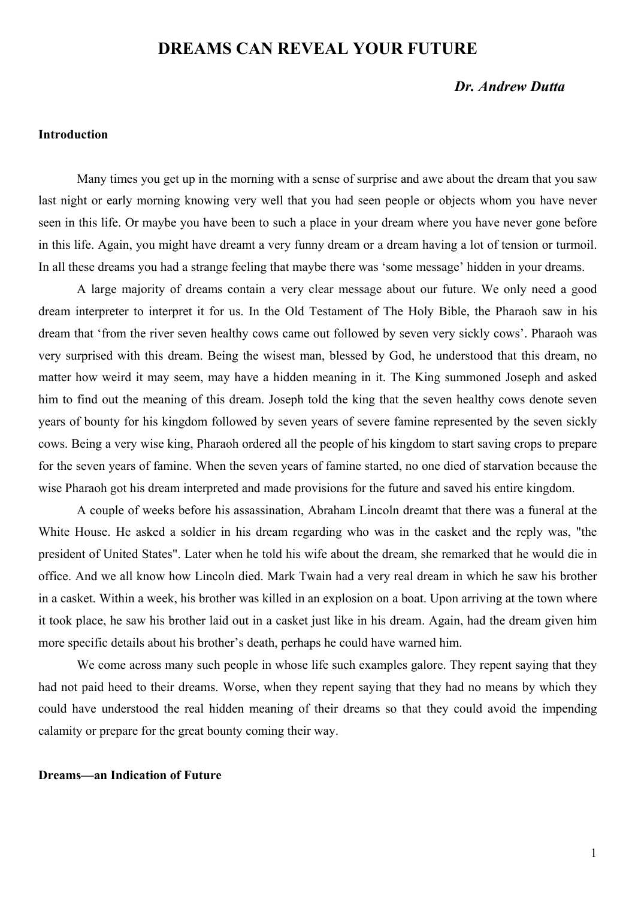# **DREAMS CAN REVEAL YOUR FUTURE**

# *Dr. Andrew Dutta*

### **Introduction**

Many times you get up in the morning with a sense of surprise and awe about the dream that you saw last night or early morning knowing very well that you had seen people or objects whom you have never seen in this life. Or maybe you have been to such a place in your dream where you have never gone before in this life. Again, you might have dreamt a very funny dream or a dream having a lot of tension or turmoil. In all these dreams you had a strange feeling that maybe there was 'some message' hidden in your dreams.

A large majority of dreams contain a very clear message about our future. We only need a good dream interpreter to interpret it for us. In the Old Testament of The Holy Bible, the Pharaoh saw in his dream that 'from the river seven healthy cows came out followed by seven very sickly cows'. Pharaoh was very surprised with this dream. Being the wisest man, blessed by God, he understood that this dream, no matter how weird it may seem, may have a hidden meaning in it. The King summoned Joseph and asked him to find out the meaning of this dream. Joseph told the king that the seven healthy cows denote seven years of bounty for his kingdom followed by seven years of severe famine represented by the seven sickly cows. Being a very wise king, Pharaoh ordered all the people of his kingdom to start saving crops to prepare for the seven years of famine. When the seven years of famine started, no one died of starvation because the wise Pharaoh got his dream interpreted and made provisions for the future and saved his entire kingdom.

A couple of weeks before his assassination, Abraham Lincoln dreamt that there was a funeral at the White House. He asked a soldier in his dream regarding who was in the casket and the reply was, "the president of United States". Later when he told his wife about the dream, she remarked that he would die in office. And we all know how Lincoln died. Mark Twain had a very real dream in which he saw his brother in a casket. Within a week, his brother was killed in an explosion on a boat. Upon arriving at the town where it took place, he saw his brother laid out in a casket just like in his dream. Again, had the dream given him more specific details about his brother's death, perhaps he could have warned him.

We come across many such people in whose life such examples galore. They repent saying that they had not paid heed to their dreams. Worse, when they repent saying that they had no means by which they could have understood the real hidden meaning of their dreams so that they could avoid the impending calamity or prepare for the great bounty coming their way.

#### **Dreams—an Indication of Future**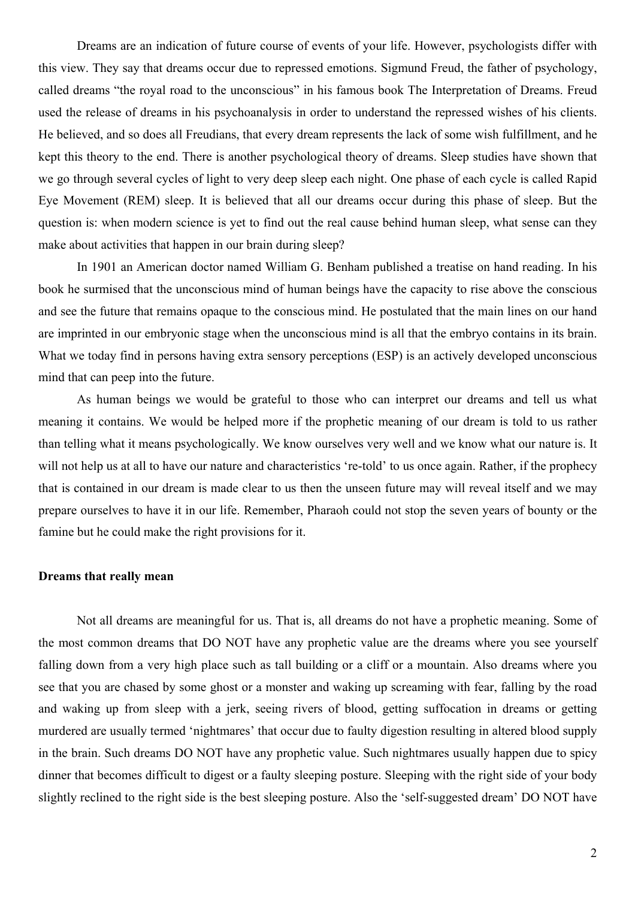Dreams are an indication of future course of events of your life. However, psychologists differ with this view. They say that dreams occur due to repressed emotions. Sigmund Freud, the father of psychology, called dreams "the royal road to the unconscious" in his famous book The Interpretation of Dreams. Freud used the release of dreams in his psychoanalysis in order to understand the repressed wishes of his clients. He believed, and so does all Freudians, that every dream represents the lack of some wish fulfillment, and he kept this theory to the end. There is another psychological theory of dreams. Sleep studies have shown that we go through several cycles of light to very deep sleep each night. One phase of each cycle is called Rapid Eye Movement (REM) sleep. It is believed that all our dreams occur during this phase of sleep. But the question is: when modern science is yet to find out the real cause behind human sleep, what sense can they make about activities that happen in our brain during sleep?

In 1901 an American doctor named William G. Benham published a treatise on hand reading. In his book he surmised that the unconscious mind of human beings have the capacity to rise above the conscious and see the future that remains opaque to the conscious mind. He postulated that the main lines on our hand are imprinted in our embryonic stage when the unconscious mind is all that the embryo contains in its brain. What we today find in persons having extra sensory perceptions (ESP) is an actively developed unconscious mind that can peep into the future.

As human beings we would be grateful to those who can interpret our dreams and tell us what meaning it contains. We would be helped more if the prophetic meaning of our dream is told to us rather than telling what it means psychologically. We know ourselves very well and we know what our nature is. It will not help us at all to have our nature and characteristics 're-told' to us once again. Rather, if the prophecy that is contained in our dream is made clear to us then the unseen future may will reveal itself and we may prepare ourselves to have it in our life. Remember, Pharaoh could not stop the seven years of bounty or the famine but he could make the right provisions for it.

#### **Dreams that really mean**

Not all dreams are meaningful for us. That is, all dreams do not have a prophetic meaning. Some of the most common dreams that DO NOT have any prophetic value are the dreams where you see yourself falling down from a very high place such as tall building or a cliff or a mountain. Also dreams where you see that you are chased by some ghost or a monster and waking up screaming with fear, falling by the road and waking up from sleep with a jerk, seeing rivers of blood, getting suffocation in dreams or getting murdered are usually termed 'nightmares' that occur due to faulty digestion resulting in altered blood supply in the brain. Such dreams DO NOT have any prophetic value. Such nightmares usually happen due to spicy dinner that becomes difficult to digest or a faulty sleeping posture. Sleeping with the right side of your body slightly reclined to the right side is the best sleeping posture. Also the 'self-suggested dream' DO NOT have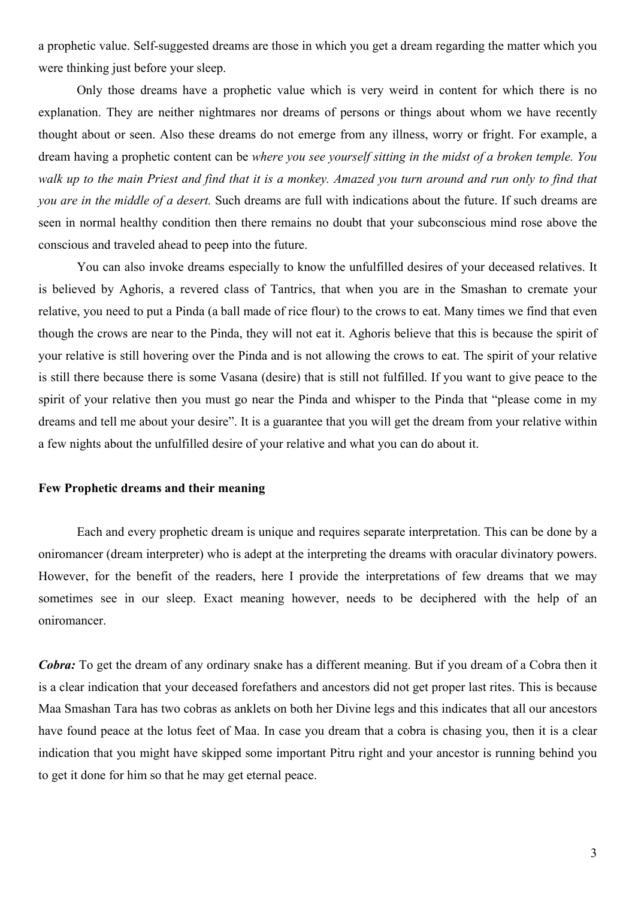a prophetic value. Self-suggested dreams are those in which you get a dream regarding the matter which you were thinking just before your sleep.

Only those dreams have a prophetic value which is very weird in content for which there is no explanation. They are neither nightmares nor dreams of persons or things about whom we have recently thought about or seen. Also these dreams do not emerge from any illness, worry or fright. For example, a dream having a prophetic content can be *where you see yourself sitting in the midst of a broken temple. You walk up to the main Priest and find that it is a monkey. Amazed you turn around and run only to find that you are in the middle of a desert.* Such dreams are full with indications about the future. If such dreams are seen in normal healthy condition then there remains no doubt that your subconscious mind rose above the conscious and traveled ahead to peep into the future.

You can also invoke dreams especially to know the unfulfilled desires of your deceased relatives. It is believed by Aghoris, a revered class of Tantrics, that when you are in the Smashan to cremate your relative, you need to put a Pinda (a ball made of rice flour) to the crows to eat. Many times we find that even though the crows are near to the Pinda, they will not eat it. Aghoris believe that this is because the spirit of your relative is still hovering over the Pinda and is not allowing the crows to eat. The spirit of your relative is still there because there is some Vasana (desire) that is still not fulfilled. If you want to give peace to the spirit of your relative then you must go near the Pinda and whisper to the Pinda that "please come in my dreams and tell me about your desire". It is a guarantee that you will get the dream from your relative within a few nights about the unfulfilled desire of your relative and what you can do about it.

# **Few Prophetic dreams and their meaning**

Each and every prophetic dream is unique and requires separate interpretation. This can be done by a oniromancer (dream interpreter) who is adept at the interpreting the dreams with oracular divinatory powers. However, for the benefit of the readers, here I provide the interpretations of few dreams that we may sometimes see in our sleep. Exact meaning however, needs to be deciphered with the help of an oniromancer.

*Cobra:* To get the dream of any ordinary snake has a different meaning. But if you dream of a Cobra then it is a clear indication that your deceased forefathers and ancestors did not get proper last rites. This is because Maa Smashan Tara has two cobras as anklets on both her Divine legs and this indicates that all our ancestors have found peace at the lotus feet of Maa. In case you dream that a cobra is chasing you, then it is a clear indication that you might have skipped some important Pitru right and your ancestor is running behind you to get it done for him so that he may get eternal peace.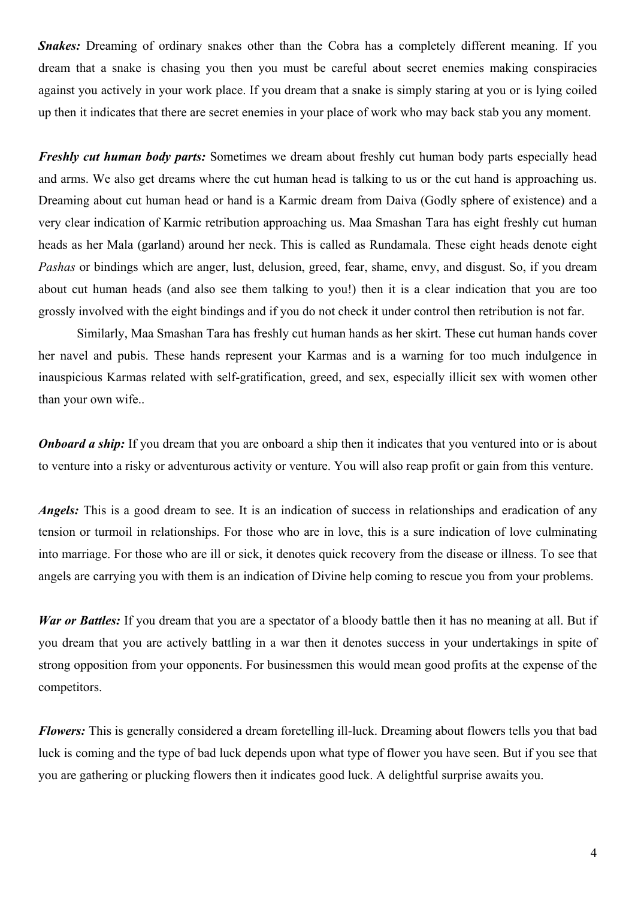*Snakes:* Dreaming of ordinary snakes other than the Cobra has a completely different meaning. If you dream that a snake is chasing you then you must be careful about secret enemies making conspiracies against you actively in your work place. If you dream that a snake is simply staring at you or is lying coiled up then it indicates that there are secret enemies in your place of work who may back stab you any moment.

*Freshly cut human body parts:* Sometimes we dream about freshly cut human body parts especially head and arms. We also get dreams where the cut human head is talking to us or the cut hand is approaching us. Dreaming about cut human head or hand is a Karmic dream from Daiva (Godly sphere of existence) and a very clear indication of Karmic retribution approaching us. Maa Smashan Tara has eight freshly cut human heads as her Mala (garland) around her neck. This is called as Rundamala. These eight heads denote eight *Pashas* or bindings which are anger, lust, delusion, greed, fear, shame, envy, and disgust. So, if you dream about cut human heads (and also see them talking to you!) then it is a clear indication that you are too grossly involved with the eight bindings and if you do not check it under control then retribution is not far.

Similarly, Maa Smashan Tara has freshly cut human hands as her skirt. These cut human hands cover her navel and pubis. These hands represent your Karmas and is a warning for too much indulgence in inauspicious Karmas related with self-gratification, greed, and sex, especially illicit sex with women other than your own wife..

*Onboard a ship:* If you dream that you are onboard a ship then it indicates that you ventured into or is about to venture into a risky or adventurous activity or venture. You will also reap profit or gain from this venture.

*Angels:* This is a good dream to see. It is an indication of success in relationships and eradication of any tension or turmoil in relationships. For those who are in love, this is a sure indication of love culminating into marriage. For those who are ill or sick, it denotes quick recovery from the disease or illness. To see that angels are carrying you with them is an indication of Divine help coming to rescue you from your problems.

*War or Battles:* If you dream that you are a spectator of a bloody battle then it has no meaning at all. But if you dream that you are actively battling in a war then it denotes success in your undertakings in spite of strong opposition from your opponents. For businessmen this would mean good profits at the expense of the competitors.

*Flowers*: This is generally considered a dream foretelling ill-luck. Dreaming about flowers tells you that bad luck is coming and the type of bad luck depends upon what type of flower you have seen. But if you see that you are gathering or plucking flowers then it indicates good luck. A delightful surprise awaits you.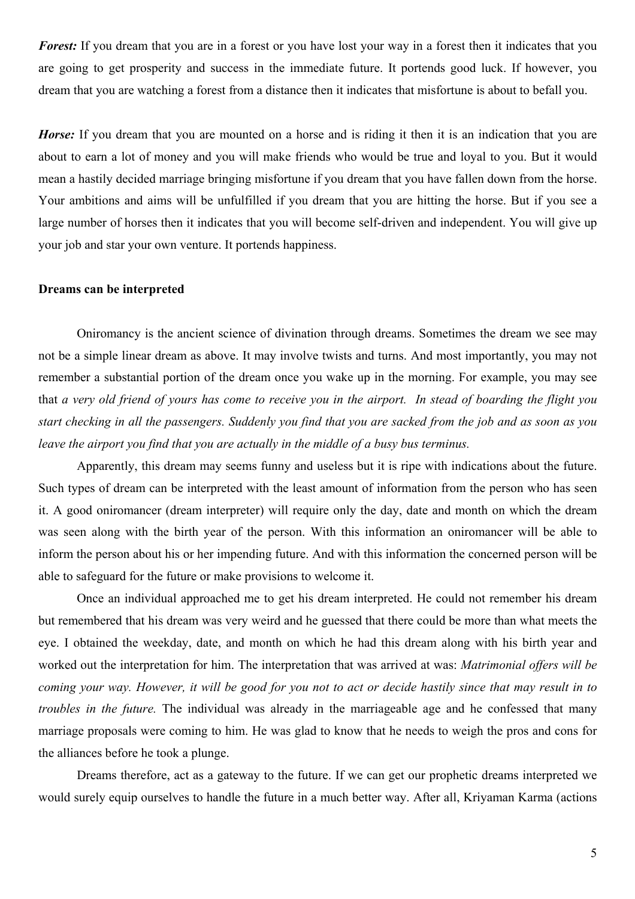*Forest:* If you dream that you are in a forest or you have lost your way in a forest then it indicates that you are going to get prosperity and success in the immediate future. It portends good luck. If however, you dream that you are watching a forest from a distance then it indicates that misfortune is about to befall you.

*Horse*: If you dream that you are mounted on a horse and is riding it then it is an indication that you are about to earn a lot of money and you will make friends who would be true and loyal to you. But it would mean a hastily decided marriage bringing misfortune if you dream that you have fallen down from the horse. Your ambitions and aims will be unfulfilled if you dream that you are hitting the horse. But if you see a large number of horses then it indicates that you will become self-driven and independent. You will give up your job and star your own venture. It portends happiness.

### **Dreams can be interpreted**

Oniromancy is the ancient science of divination through dreams. Sometimes the dream we see may not be a simple linear dream as above. It may involve twists and turns. And most importantly, you may not remember a substantial portion of the dream once you wake up in the morning. For example, you may see that *a very old friend of yours has come to receive you in the airport. In stead of boarding the flight you start checking in all the passengers. Suddenly you find that you are sacked from the job and as soon as you leave the airport you find that you are actually in the middle of a busy bus terminus.* 

Apparently, this dream may seems funny and useless but it is ripe with indications about the future. Such types of dream can be interpreted with the least amount of information from the person who has seen it. A good oniromancer (dream interpreter) will require only the day, date and month on which the dream was seen along with the birth year of the person. With this information an oniromancer will be able to inform the person about his or her impending future. And with this information the concerned person will be able to safeguard for the future or make provisions to welcome it.

Once an individual approached me to get his dream interpreted. He could not remember his dream but remembered that his dream was very weird and he guessed that there could be more than what meets the eye. I obtained the weekday, date, and month on which he had this dream along with his birth year and worked out the interpretation for him. The interpretation that was arrived at was: *Matrimonial offers will be coming your way. However, it will be good for you not to act or decide hastily since that may result in to troubles in the future.* The individual was already in the marriageable age and he confessed that many marriage proposals were coming to him. He was glad to know that he needs to weigh the pros and cons for the alliances before he took a plunge.

Dreams therefore, act as a gateway to the future. If we can get our prophetic dreams interpreted we would surely equip ourselves to handle the future in a much better way. After all, Kriyaman Karma (actions